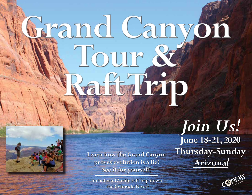# Fand Canyon Tour & Fencero



Learn how the Grand Canyon<br>**Arizona**! Proves evolution is a lie! **Arizona proves evolution is a lie! See it for yourself!**

**Includes a 17-mile raft trip down the Colorado River!**

*Join Us!*  **June 18-21, 2020 Thursday-Sunday**

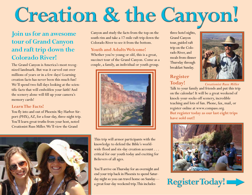## Creation & the Canyon!

#### **Join us for an awesome tour of Grand Canyon and raft trip down the Colorado River!**

The Grand Canyon is America's most recognized landmark. But was it carved out over millions of years or in a few days? Learning creation facts has never been this much fun! We'll spend two full days looking at the scientific facts that will embolden your faith! And the scenery alone will fill up your camera's memory cards!

#### **Learn The Facts!**

You fly into and out of Phoenix Sky Harbor Airport (PHX), AZ, for a four-day, three-night trip. You'll learn great truths from your host, noted Creationist Russ Miller. We'll view the Grand



Canyon and study the facts from the top on the south rim and take a 17-mile raft trip down the Colorado River to see it from the bottom.

#### **Youth and Adults Welcome!**

Whether you're young or old, this is a great, succinct tour of the Grand Canyon. Come as a couple, a family, an individual or youth group.



This trip will armor participants with the knowledge to defend the Bible's worldwide flood and six-day creation account . . . critical for our youth today and exciting for Believers of all ages.

You'll arrive on Thursday for an overnight and end your trip back in Phoenix to spend Saturday night so you can travel home on Sunday a great four-day weekend trip. This includes

three hotel nights, Grand Canyon tour, guided raft trip on the Colorado River, and meals from dinner Thursday through breakfast Sunday.

#### **Register Today!**



*Creationist Russ Miller*

Talk to your family and friends and put this trip on the calendar! It will be a great weekend of knock-your-socks-off scenery, incredible teaching and lots of fun. Phone, fax, mail, or register online at www.compass.org. **But register today as our last eight trips have sold out!!**



Register Today!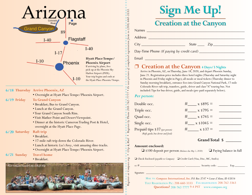

#### **6/18 Thursday Arrive Phoenix, AZ**

**•** Overnight at Hyatt Place Tempe/Phoenix Airport.

- **6/19 To Grand Canyon** 
	- Breakfast; Bus to Grand Canyon.
	- Lunch at the Grand Canyon.
	- Tour Grand Canyon South Rim.
	- Visit Mather Point and Desert Viewpoint.
	- Dinner at the historic Cameron Trading Post & Hotel, overnight at the Hyatt Place Page.

#### **6/20 Saturday Raft trip**

- Breakfast.
- 17-mile raft trip down the Colorado River.
- Lunch at historic *Lee's Ferry*, visit amazing dino tracks.
- Overnight at Hyatt Place Tempe/Phoenix Airport.

#### **6/21 Travel home**

• Breakfast.



| <b>Sign Me Up!</b>            |  |
|-------------------------------|--|
| <b>Creation at the Canyon</b> |  |

Names **with a set of the set of the set of the set of the set of the set of the set of the set of the set of the set of the set of the set of the set of the set of the set of the set of the set of the set of the set of the** 

Address \_\_\_\_\_\_\_\_\_\_\_\_\_\_\_\_\_\_\_\_\_\_\_\_\_\_\_\_\_\_\_\_\_\_\_\_\_\_\_\_\_\_\_\_\_\_\_\_\_\_\_\_\_\_\_

City \_\_\_\_\_\_\_\_\_\_\_\_\_\_\_\_\_\_\_\_\_\_\_\_\_ State \_\_\_\_ Zip\_\_\_\_\_\_\_\_\_\_\_\_\_\_\_\_\_\_

Day-Time Phone (If paying by credit card)

Email and the contract of the contract of the contract of the contract of the contract of the contract of the contract of the contract of the contract of the contract of the contract of the contract of the contract of the

#### p **Creation at the Canyon 4 Days/3 Nights**

Arrive in Phoenix, AZ, on Thursday, June 18, 2020, and depart Phoenix Sunday, June 21. Registration price includes three hotel nights (Thursday and Saturday night in Phoenix and Friday night in Page); all meals or meal tickets (Thursday dinner to Sunday morning breakfast), entrance fees into Grand Canyon National Park, 17-mile Colorado River raft trip, transfers, guide, driver and class "A" touring bus. Not included: Tips for bus driver, guide, and meals (pre-paid separately below).

#### *Per person:*

*Register at Compass.org • Clip & Mail • Register by Phone 208-762-7777 • Or text picture of completed registration form to (208) 660-3333.*

 $\overline{C1p} = \overline{a} \overline{h}a i \overline{l}$  + Register by Phone 208-762-7777 • Or text picture of completed registration form to (208) 660-3333.

| Double occ.                       | $x $895 =$           |  |
|-----------------------------------|----------------------|--|
| Triple occ.                       | $x $795 =$<br>#      |  |
| Quad occ.                         | $x \$745 =$          |  |
| Single occ.                       | $x \sin 1045 =$<br># |  |
| Prepaid tips \$37 (per person)    | $x $37 =$            |  |
| (Raft guide, bus driver and food) |                      |  |

#### **Amount enclosed:**

❏ \$100 deposit per person *(Balance due May 5, 2020)* ❏ Paying balance in full

 **Grand Total \$ \_\_\_\_\_\_\_**

❏ Check Enclosed *(payable to Compass)* ❏ Credit Card (Visa, Disc, MC, AmEx)

| $\sim$<br>$\overline{\phantom{a}}$ |  | and the second contract of the local<br>ж |  |
|------------------------------------|--|-------------------------------------------|--|
|                                    |  |                                           |  |

Signature \_\_\_\_\_\_\_\_\_\_\_\_\_\_\_\_\_\_\_\_\_\_\_\_\_\_\_\_\_\_\_\_\_\_\_\_\_\_\_\_\_\_\_\_\_\_\_\_\_\_\_\_\_\_\_\_\_\_\_\_\_\_\_\_\_\_\_\_\_

Mail to: *Compass International, Inc. P.O. Box 3747 • Coeur d'Alene, ID 83816* Text Registration Pic: 208-660-3333 Fax registration 208-762-3363 **Questions?** 208-762-7777 9-4 PST www.compass.org